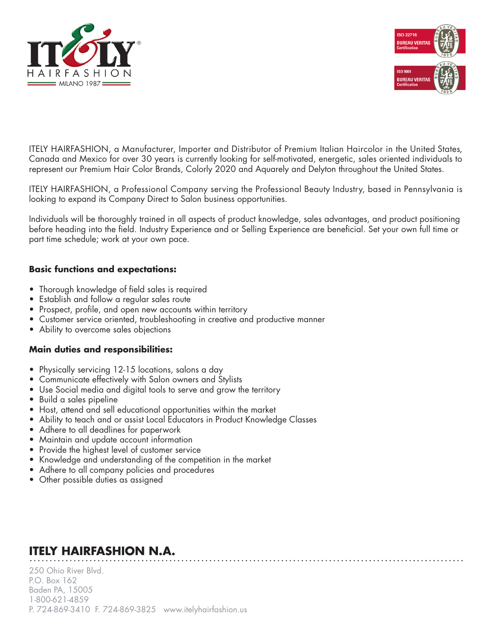



ITELY HAIRFASHION, a Manufacturer, Importer and Distributor of Premium Italian Haircolor in the United States, Canada and Mexico for over 30 years is currently looking for self-motivated, energetic, sales oriented individuals to represent our Premium Hair Color Brands, Colorly 2020 and Aquarely and Delyton throughout the United States.

ITELY HAIRFASHION, a Professional Company serving the Professional Beauty Industry, based in Pennsylvania is looking to expand its Company Direct to Salon business opportunities.

Individuals will be thoroughly trained in all aspects of product knowledge, sales advantages, and product positioning before heading into the field. Industry Experience and or Selling Experience are beneficial. Set your own full time or part time schedule; work at your own pace.

### **Basic functions and expectations:**

- Thorough knowledge of field sales is required
- Establish and follow a regular sales route
- Prospect, profile, and open new accounts within territory
- Customer service oriented, troubleshooting in creative and productive manner
- Ability to overcome sales objections

#### **Main duties and responsibilities:**

- Physically servicing 12-15 locations, salons a day
- Communicate effectively with Salon owners and Stylists
- Use Social media and digital tools to serve and grow the territory
- Build a sales pipeline
- Host, attend and sell educational opportunities within the market
- Ability to teach and or assist Local Educators in Product Knowledge Classes
- Adhere to all deadlines for paperwork
- Maintain and update account information
- Provide the highest level of customer service
- Knowledge and understanding of the competition in the market
- Adhere to all company policies and procedures
- Other possible duties as assigned

# **ITELY HAIRFASHION N.A.**

250 Ohio River Blvd. P.O. Box 162 Baden PA, 15005 1-800-621-4859 P. 724-869-3410 F. 724-869-3825 www.itelyhairfashion.us